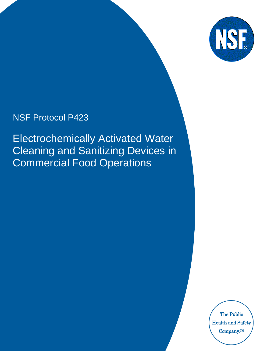

# NSF Protocol P423

Electrochemically Activated Water Cleaning and Sanitizing Devices in Commercial Food Operations

> The Public Health and Safety Company.TM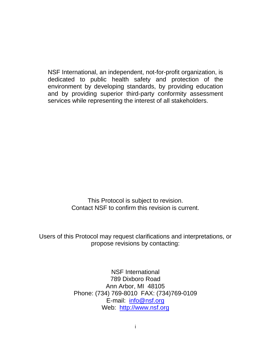NSF International, an independent, not-for-profit organization, is dedicated to public health safety and protection of the environment by developing standards, by providing education and by providing superior third-party conformity assessment services while representing the interest of all stakeholders.

> This Protocol is subject to revision. Contact NSF to confirm this revision is current.

Users of this Protocol may request clarifications and interpretations, or propose revisions by contacting:

> NSF International 789 Dixboro Road Ann Arbor, MI 48105 Phone: (734) 769-8010 FAX: (734)769-0109 E-mail: [info@nsf.org](mailto:info@nsf.org) Web: [http://www.nsf.org](http://www.nsf.org/)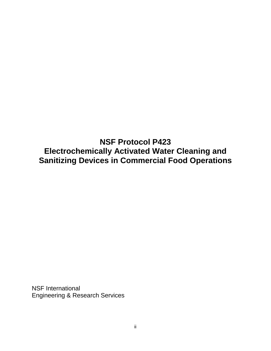**NSF Protocol P423 Electrochemically Activated Water Cleaning and Sanitizing Devices in Commercial Food Operations**

NSF International Engineering & Research Services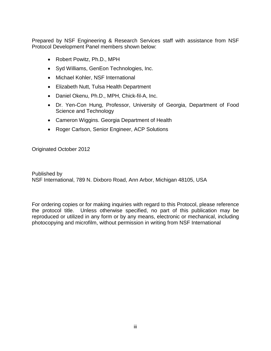Prepared by NSF Engineering & Research Services staff with assistance from NSF Protocol Development Panel members shown below:

- Robert Powitz, Ph.D., MPH
- Syd Williams, GenEon Technologies, Inc.
- Michael Kohler, NSF International
- Elizabeth Nutt, Tulsa Health Department
- Daniel Okenu, Ph.D., MPH, Chick-fil-A, Inc.
- Dr. Yen-Con Hung, Professor, University of Georgia, Department of Food Science and Technology
- Cameron Wiggins. Georgia Department of Health
- Roger Carlson, Senior Engineer, ACP Solutions

Originated October 2012

Published by NSF International, 789 N. Dixboro Road, Ann Arbor, Michigan 48105, USA

For ordering copies or for making inquiries with regard to this Protocol, please reference the protocol title. Unless otherwise specified, no part of this publication may be reproduced or utilized in any form or by any means, electronic or mechanical, including photocopying and microfilm, without permission in writing from NSF International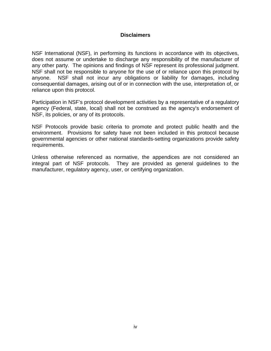#### **Disclaimers**

NSF International (NSF), in performing its functions in accordance with its objectives, does not assume or undertake to discharge any responsibility of the manufacturer of any other party. The opinions and findings of NSF represent its professional judgment. NSF shall not be responsible to anyone for the use of or reliance upon this protocol by anyone. NSF shall not incur any obligations or liability for damages, including consequential damages, arising out of or in connection with the use, interpretation of, or reliance upon this protocol.

Participation in NSF's protocol development activities by a representative of a regulatory agency (Federal, state, local) shall not be construed as the agency's endorsement of NSF, its policies, or any of its protocols.

NSF Protocols provide basic criteria to promote and protect public health and the environment. Provisions for safety have not been included in this protocol because governmental agencies or other national standards-setting organizations provide safety requirements.

Unless otherwise referenced as normative, the appendices are not considered an integral part of NSF protocols. They are provided as general guidelines to the manufacturer, regulatory agency, user, or certifying organization.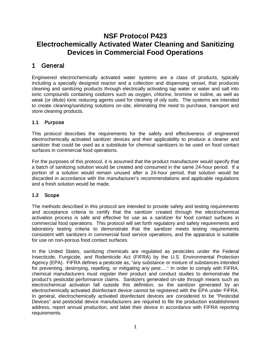# **NSF Protocol P423 Electrochemically Activated Water Cleaning and Sanitizing Devices in Commercial Food Operations**

## 1 General

Engineered electrochemically activated water systems are a class of products, typically including a specially designed reactor and a collection and dispensing vessel, that produces cleaning and sanitizing products through electrically activating tap water or water and salt into ionic compounds containing oxidizers such as oxygen, chlorine, bromine or iodine, as well as weak (or dilute) ionic reducing agents used for cleaning of oily soils. The systems are intended to create cleaning/sanitizing solutions on-site, eliminating the need to purchase, transport and store cleaning products.

### **1.1** Purpose

This protocol describes the requirements for the safety and effectiveness of engineered electrochemically activated sanitizer devices and their applicability to produce a cleaner and sanitizer that could be used as a substitute for chemical sanitizers to be used on food contact surfaces in commercial food operations.

For the purposes of this protocol, it is assumed that the product manufacturer would specify that a batch of sanitizing solution would be created and consumed in the same 24-hour period. If a portion of a solution would remain unused after a 24-hour period, that solution would be discarded in accordance with the manufacturer's recommendations and applicable regulations and a fresh solution would be made.

#### **1.2** Scope

The methods described in this protocol are intended to provide safety and testing requirements and acceptance criteria to certify that the sanitizer created through the electrochemical activation process is safe and effective for use as a sanitizer for food contact surfaces in commercial food operations. This protocol will set forth regulatory and safety requirements and laboratory testing criteria to demonstrate that the sanitizer meets testing requirements consistent with sanitizers in commercial food service operations, and the apparatus is suitable for use on non-porous food contact surfaces.

In the United States, sanitizing chemicals are regulated as pesticides under the Federal Insecticide, Fungicide, and Rodenticide Act (FIFRA) by the U.S. Environmental Protection Agency (EPA). FIFRA defines a pesticide as, "any substance or mixture of substances intended for preventing, destroying, repelling, or mitigating any pest…." In order to comply with FIFRA, chemical manufacturers must register their product and conduct studies to demonstrate the product's pesticidal performance claims. Sanitizers generated on-site through means such as electrochemical activation fall outside this definition, so the sanitizer generated by an electrochemically activated disinfectant device cannot be registered with the EPA under FIFRA. In general, electrochemically activated disinfectant devices are considered to be "Pesticidal Devices" and pesticidal device manufacturers are required to file the production establishment address, report annual production, and label their device in accordance with FIFRA reporting requirements.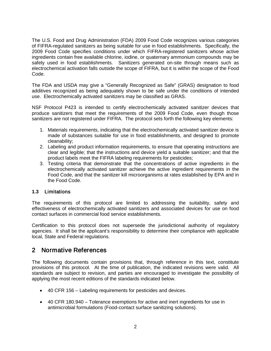The U.S. Food and Drug Administration (FDA) 2009 Food Code recognizes various categories of FIFRA-regulated sanitizers as being suitable for use in food establishments. Specifically, the 2009 Food Code specifies conditions under which FIFRA-registered sanitizers whose active ingredients contain free available chlorine, iodine, or quaternary ammonium compounds may be safely used in food establishments. Sanitizers generated on-site through means such as electrochemical activation falls outside the scope of FIFRA, but it is within the scope of the Food Code.

The FDA and USDA may give a "Generally Recognized as Safe" (GRAS) designation to food additives recognized as being adequately shown to be safe under the conditions of intended use. Electrochemically activated sanitizers may be classified as GRAS.

NSF Protocol P423 is intended to certify electrochemically activated sanitizer devices that produce sanitizers that meet the requirements of the 2009 Food Code, even though those sanitizers are not registered under FIFRA. The protocol sets forth the following key elements:

- 1. Materials requirements, indicating that the electrochemically activated sanitizer device is made of substances suitable for use in food establishments, and designed to promote cleanability;
- 2. Labeling and product information requirements, to ensure that operating instructions are clear and legible; that the instructions and device yield a suitable sanitizer; and that the product labels meet the FIFRA labeling requirements for pesticides;
- 3. Testing criteria that demonstrate that the concentrations of active ingredients in the electrochemically activated sanitizer achieve the active ingredient requirements in the Food Code, and that the sanitizer kill microorganisms at rates established by EPA and in the Food Code.

#### **1.3** Limitations

The requirements of this protocol are limited to addressing the suitability, safety and effectiveness of electrochemically activated sanitizers and associated devices for use on food contact surfaces in commercial food service establishments.

Certification to this protocol does not supersede the jurisdictional authority of regulatory agencies. It shall be the applicant's responsibility to determine their compliance with applicable local, State and Federal regulations.

### 2 Normative References

The following documents contain provisions that, through reference in this text, constitute provisions of this protocol. At the time of publication, the indicated revisions were valid. All standards are subject to revision, and parties are encouraged to investigate the possibility of applying the most recent editions of the standards indicated below.

- 40 CFR 156 Labeling requirements for pesticides and devices.
- 40 CFR 180.940 Tolerance exemptions for active and inert ingredients for use in antimicrobial formulations (Food-contact surface sanitizing solutions).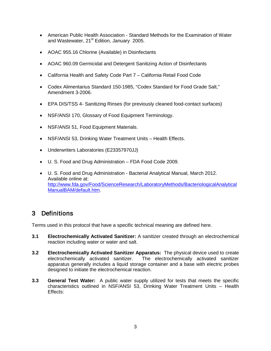- American Public Health Association Standard Methods for the Examination of Water and Wastewater, 21<sup>st</sup> Edition, January 2005.
- AOAC 955.16 Chlorine (Available) in Disinfectants
- AOAC 960.09 Germicidal and Detergent Sanitizing Action of Disinfectants
- California Health and Safety Code Part 7 California Retail Food Code
- Codex Alimentarius Standard 150-1985, "Codex Standard for Food Grade Salt," Amendment 3-2006.
- EPA DIS/TSS 4- Sanitizing Rinses (for previously cleaned food-contact surfaces)
- NSF/ANSI 170, Glossary of Food Equipment Terminology.
- NSF/ANSI 51, Food Equipment Materials.
- NSF/ANSI 53, Drinking Water Treatment Units Health Effects.
- Underwriters Laboratories (E23357970JJ)
- U. S. Food and Drug Administration FDA Food Code 2009.
- U. S. Food and Drug Administration Bacterial Analytical Manual, March 2012. Available online at: [http://www.fda.gov/Food/ScienceResearch/LaboratoryMethods/BacteriologicalAnalytical](http://www.fda.gov/Food/ScienceResearch/LaboratoryMethods/BacteriologicalAnalyticalManualBAM/default.htm) [ManualBAM/default.htm.](http://www.fda.gov/Food/ScienceResearch/LaboratoryMethods/BacteriologicalAnalyticalManualBAM/default.htm)

### 3 Definitions

Terms used in this protocol that have a specific technical meaning are defined here.

- **3.1 Electrochemically Activated Sanitizer:** A sanitizer created through an electrochemical reaction including water or water and salt.
- **3.2 Electrochemically Activated Sanitizer Apparatus:** The physical device used to create electrochemically activated sanitizer. The electrochemically activated sanitizer apparatus generally includes a liquid storage container and a base with electric probes designed to initiate the electrochemical reaction.
- **3.3 General Test Water:** A public water supply utilized for tests that meets the specific characteristics outlined in NSF/ANSI 53, Drinking Water Treatment Units – Health Effects: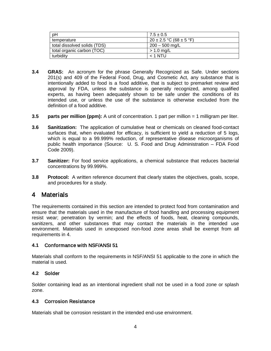| pH                           | $7.5 \pm 0.5$                   |
|------------------------------|---------------------------------|
| temperature                  | $20 \pm 2.5$ °C (68 $\pm$ 5 °F) |
| total dissolved solids (TDS) | $200 - 500$ mg/L                |
| total organic carbon (TOC)   | $> 1.0$ mg/L                    |
| turbidity                    | $<$ 1 NTU                       |

- **3.4 GRAS:** An acronym for the phrase Generally Recognized as Safe. Under sections 201(s) and 409 of the Federal Food, Drug, and Cosmetic Act, any substance that is intentionally added to food is a food additive, that is subject to premarket review and approval by FDA, unless the substance is generally recognized, among qualified experts, as having been adequately shown to be safe under the conditions of its intended use, or unless the use of the substance is otherwise excluded from the definition of a food additive.
- **3.5 parts per million (ppm):** A unit of concentration. 1 part per million = 1 milligram per liter.
- **3.6 Sanitization:** The application of cumulative heat or chemicals on cleaned food-contact surfaces that, when evaluated for efficacy, is sufficient to yield a reduction of 5 logs, which is equal to a 99.999% reduction, of representative disease microorganisms of public health importance (Source: U. S. Food and Drug Administration – FDA Food Code 2009).
- **3.7 Sanitizer:** For food service applications, a chemical substance that reduces bacterial concentrations by 99.999%.
- **3.8 Protocol:** A written reference document that clearly states the objectives, goals, scope, and procedures for a study.

### 4 Materials

The requirements contained in this section are intended to protect food from contamination and ensure that the materials used in the manufacture of food handling and processing equipment resist wear; penetration by vermin; and the effects of foods, heat, cleaning compounds, sanitizers, and other substances that may contact the materials in the intended use environment. Materials used in unexposed non-food zone areas shall be exempt from all requirements in 4.

#### **4.1** Conformance with NSF/ANSI 51

Materials shall conform to the requirements in NSF/ANSI 51 applicable to the zone in which the material is used.

#### **4.2** Solder

Solder containing lead as an intentional ingredient shall not be used in a food zone or splash zone.

#### **4.3** Corrosion Resistance

Materials shall be corrosion resistant in the intended end-use environment.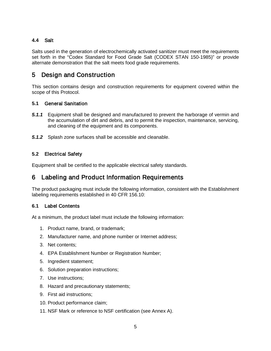#### **4.4** Salt

Salts used in the generation of electrochemically activated sanitizer must meet the requirements set forth in the "Codex Standard for Food Grade Salt (CODEX STAN 150-1985)" or provide alternate demonstration that the salt meets food grade requirements.

## 5 Design and Construction

This section contains design and construction requirements for equipment covered within the scope of this Protocol.

#### **5.1** General Sanitation

- *5.1.1* Equipment shall be designed and manufactured to prevent the harborage of vermin and the accumulation of dirt and debris, and to permit the inspection, maintenance, servicing, and cleaning of the equipment and its components.
- *5.1.2* Splash zone surfaces shall be accessible and cleanable.

#### **5.2** Electrical Safety

Equipment shall be certified to the applicable electrical safety standards.

### 6 Labeling and Product Information Requirements

The product packaging must include the following information, consistent with the Establishment labeling requirements established in 40 CFR 156.10:

#### **6.1** Label Contents

At a minimum, the product label must include the following information:

- 1. Product name, brand, or trademark;
- 2. Manufacturer name, and phone number or Internet address;
- 3. Net contents;
- 4. EPA Establishment Number or Registration Number;
- 5. Ingredient statement;
- 6. Solution preparation instructions;
- 7. Use instructions;
- 8. Hazard and precautionary statements;
- 9. First aid instructions;
- 10. Product performance claim;
- 11. NSF Mark or reference to NSF certification (see Annex A).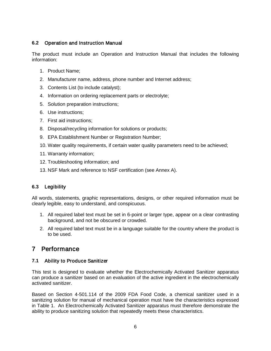#### **6.2** Operation and Instruction Manual

The product must include an Operation and Instruction Manual that includes the following information:

- 1. Product Name;
- 2. Manufacturer name, address, phone number and Internet address;
- 3. Contents List (to include catalyst);
- 4. Information on ordering replacement parts or electrolyte;
- 5. Solution preparation instructions;
- 6. Use instructions;
- 7. First aid instructions;
- 8. Disposal/recycling information for solutions or products;
- 9. EPA Establishment Number or Registration Number;
- 10. Water quality requirements, if certain water quality parameters need to be achieved;
- 11. Warranty information;
- 12. Troubleshooting information; and
- 13. NSF Mark and reference to NSF certification (see Annex A).

#### **6.3** Legibility

All words, statements, graphic representations, designs, or other required information must be clearly legible, easy to understand, and conspicuous.

- 1. All required label text must be set in 6-point or larger type, appear on a clear contrasting background, and not be obscured or crowded.
- 2. All required label text must be in a language suitable for the country where the product is to be used.

### 7 Performance

#### **7.1** Ability to Produce Sanitizer

This test is designed to evaluate whether the Electrochemically Activated Sanitizer apparatus can produce a sanitizer based on an evaluation of the active ingredient in the electrochemically activated sanitizer.

Based on Section 4-501.114 of the 2009 FDA Food Code, a chemical sanitizer used in a sanitizing solution for manual of mechanical operation must have the characteristics expressed in Table 1. An Electrochemically Activated Sanitizer apparatus must therefore demonstrate the ability to produce sanitizing solution that repeatedly meets these characteristics.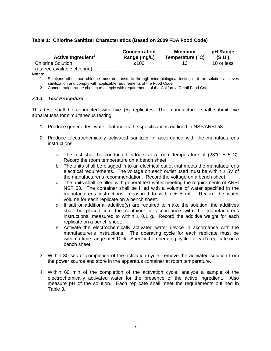#### **Table 1: Chlorine Sanitizer Characteristics (Based on 2009 FDA Food Code)**

| Active Ingredient <sup>1</sup> | <b>Concentration</b><br>Range (mg/L) | <b>Minimum</b><br>Temperature (°C) | pH Range<br>(S.U.) |
|--------------------------------|--------------------------------------|------------------------------------|--------------------|
| <b>Chlorine Solution</b>       | ≥100                                 |                                    | 10 or less         |
| (as free available chlorine)   |                                      |                                    |                    |

**Notes:**

1. Solutions other than chlorine must demonstrate through microbiological testing that the solution achieves sanitization and comply with applicable requirements of the Food Code.

2. Concentration range chosen to comply with requirements of the California Retail Food Code.

#### *7.1.1 Test Procedure*

This test shall be conducted with five (5) replicates. The manufacturer shall submit five apparatuses for simultaneous testing.

- 1. Produce general test water that meets the specifications outlined in NSF/ANSI 53.
- 2. Produce electrochemically activated sanitizer in accordance with the manufacturer's instructions.
	- a. The test shall be conducted indoors at a room temperature of  $(23^{\circ}C \pm 5^{\circ}C)$ . Record the room temperature on a bench sheet.
	- b. The units shall be plugged in to an electrical outlet that meets the manufacturer's electrical requirements. The voltage on each outlet used must be within  $\pm$  5V of the manufacturer's recommendation. Record the voltage on a bench sheet.
	- c. The units shall be filled with general test water meeting the requirements of ANSI NSF 53. The container shall be filled with a volume of water specified in the manufacturer's instructions, measured to within  $\pm$  5 mL. Record the water volume for each replicate on a bench sheet.
	- d. If salt or additional additive(s) are required to make the solution, the additives shall be placed into the container in accordance with the manufacturer's instructions, measured to within  $\pm$  0.1 g. Record the additive weight for each replicate on a bench sheet.
	- e. Activate the electrochemically activated water device in accordance with the manufacturer's instructions. The operating cycle for each replicate must be within a time range of  $\pm 10\%$ . Specify the operating cycle for each replicate on a bench sheet.
- 3. Within 30 sec of completion of the activation cycle, remove the activated solution from the power source and store in the apparatus container at room temperature.
- 4. Within 60 min of the completion of the activation cycle, analyze a sample of the electrochemically activated water for the presence of the active ingredient. Also measure pH of the solution. Each replicate shall meet the requirements outlined in Table 3.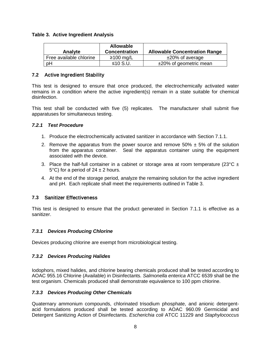#### **Table 3. Active Ingredient Analysis**

| Analyte                 | <b>Allowable</b><br><b>Concentration</b> | <b>Allowable Concentration Range</b> |
|-------------------------|------------------------------------------|--------------------------------------|
| Free available chlorine | $≥100$ mg/L                              | $±20\%$ of average                   |
| pH                      | ≤10 S.U.                                 | $±20\%$ of geometric mean            |

#### **7.2** Active Ingredient Stability

This test is designed to ensure that once produced, the electrochemically activated water remains in a condition where the active ingredient(s) remain in a state suitable for chemical disinfection.

This test shall be conducted with five (5) replicates. The manufacturer shall submit five apparatuses for simultaneous testing.

#### *7.2.1 Test Procedure*

- 1. Produce the electrochemically activated sanitizer in accordance with Section 7.1.1.
- 2. Remove the apparatus from the power source and remove  $50\% \pm 5\%$  of the solution from the apparatus container. Seal the apparatus container using the equipment associated with the device.
- 3. Place the half-full container in a cabinet or storage area at room temperature (23°C  $\pm$ 5°C) for a period of  $24 \pm 2$  hours.
- 4. At the end of the storage period, analyze the remaining solution for the active ingredient and pH. Each replicate shall meet the requirements outlined in Table 3.

#### **7.3** Sanitizer Effectiveness

This test is designed to ensure that the product generated in Section 7.1.1 is effective as a sanitizer.

#### *7.3.1 Devices Producing Chlorine*

Devices producing chlorine are exempt from microbiological testing.

#### *7.3.2 Devices Producing Halides*

Iodophors, mixed halides, and chlorine bearing chemicals produced shall be tested according to AOAC 955.16 Chlorine (Available) in Disinfectants. *Salmonella enterica* ATCC 6539 shall be the test organism. Chemicals produced shall demonstrate equivalence to 100 ppm chlorine.

#### *7.3.3 Devices Producing Other Chemicals*

Quaternary ammonium compounds, chlorinated trisodium phosphate, and anionic detergentacid formulations produced shall be tested according to AOAC 960.09 Germicidal and Detergent Sanitizing Action of Disinfectants. *Escherichia coli* ATCC 11229 and *Staphylococcus*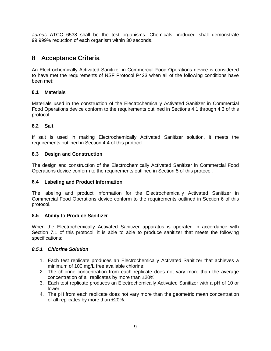*aureus* ATCC 6538 shall be the test organisms. Chemicals produced shall demonstrate 99.999% reduction of each organism within 30 seconds.

# 8 Acceptance Criteria

An Electrochemically Activated Sanitizer in Commercial Food Operations device is considered to have met the requirements of NSF Protocol P423 when all of the following conditions have been met:

#### **8.1** Materials

Materials used in the construction of the Electrochemically Activated Sanitizer in Commercial Food Operations device conform to the requirements outlined in Sections 4.1 through 4.3 of this protocol.

#### **8.2** Salt

If salt is used in making Electrochemically Activated Sanitizer solution, it meets the requirements outlined in Section 4.4 of this protocol.

#### **8.3** Design and Construction

The design and construction of the Electrochemically Activated Sanitizer in Commercial Food Operations device conform to the requirements outlined in Section 5 of this protocol.

#### **8.4** Labeling and Product Information

The labeling and product information for the Electrochemically Activated Sanitizer in Commercial Food Operations device conform to the requirements outlined in Section 6 of this protocol.

#### **8.5** Ability to Produce Sanitizer

When the Electrochemically Activated Sanitizer apparatus is operated in accordance with Section 7.1 of this protocol, it is able to able to produce sanitizer that meets the following specifications:

#### *8.5.1 Chlorine Solution*

- 1. Each test replicate produces an Electrochemically Activated Sanitizer that achieves a minimum of 100 mg/L free available chlorine;
- 2. The chlorine concentration from each replicate does not vary more than the average concentration of all replicates by more than ±20%;
- 3. Each test replicate produces an Electrochemically Activated Sanitizer with a pH of 10 or lower;
- 4. The pH from each replicate does not vary more than the geometric mean concentration of all replicates by more than ±20%.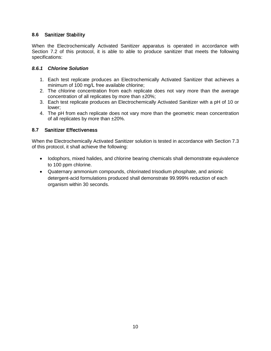#### **8.6** Sanitizer Stability

When the Electrochemically Activated Sanitizer apparatus is operated in accordance with Section 7.2 of this protocol, it is able to able to produce sanitizer that meets the following specifications:

#### *8.6.1 Chlorine Solution*

- 1. Each test replicate produces an Electrochemically Activated Sanitizer that achieves a minimum of 100 mg/L free available chlorine;
- 2. The chlorine concentration from each replicate does not vary more than the average concentration of all replicates by more than ±20%;
- 3. Each test replicate produces an Electrochemically Activated Sanitizer with a pH of 10 or lower;
- 4. The pH from each replicate does not vary more than the geometric mean concentration of all replicates by more than ±20%.

#### **8.7** Sanitizer Effectiveness

When the Electrochemically Activated Sanitizer solution is tested in accordance with Section 7.3 of this protocol, it shall achieve the following:

- Iodophors, mixed halides, and chlorine bearing chemicals shall demonstrate equivalence to 100 ppm chlorine.
- Quaternary ammonium compounds, chlorinated trisodium phosphate, and anionic detergent-acid formulations produced shall demonstrate 99.999% reduction of each organism within 30 seconds.